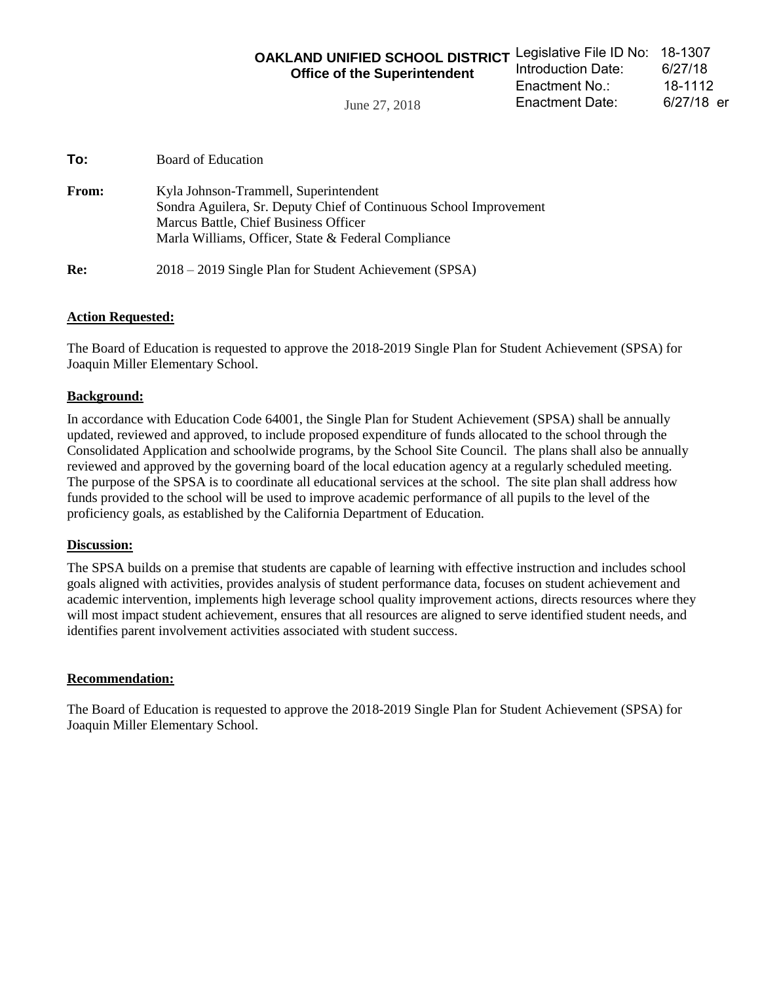| OAKLAND UNIFIED SCHOOL DISTRICT Legislative File ID No: 18-1307 |                    |            |
|-----------------------------------------------------------------|--------------------|------------|
| <b>Office of the Superintendent</b>                             | Introduction Date: | 6/27/18    |
|                                                                 | Enactment No.∶     | 18-1112    |
| June 27, 2018                                                   | Enactment Date:    | 6/27/18 er |

**To:** Board of Education

| <b>From:</b> | Kyla Johnson-Trammell, Superintendent<br>Sondra Aguilera, Sr. Deputy Chief of Continuous School Improvement<br>Marcus Battle, Chief Business Officer<br>Marla Williams, Officer, State & Federal Compliance |
|--------------|-------------------------------------------------------------------------------------------------------------------------------------------------------------------------------------------------------------|
| Re:          | 2018 – 2019 Single Plan for Student Achievement (SPSA)                                                                                                                                                      |

#### **Action Requested:**

The Board of Education is requested to approve the 2018-2019 Single Plan for Student Achievement (SPSA) for Joaquin Miller Elementary School.

#### **Background:**

In accordance with Education Code 64001, the Single Plan for Student Achievement (SPSA) shall be annually updated, reviewed and approved, to include proposed expenditure of funds allocated to the school through the Consolidated Application and schoolwide programs, by the School Site Council. The plans shall also be annually reviewed and approved by the governing board of the local education agency at a regularly scheduled meeting. The purpose of the SPSA is to coordinate all educational services at the school. The site plan shall address how funds provided to the school will be used to improve academic performance of all pupils to the level of the proficiency goals, as established by the California Department of Education.

#### **Discussion:**

The SPSA builds on a premise that students are capable of learning with effective instruction and includes school goals aligned with activities, provides analysis of student performance data, focuses on student achievement and academic intervention, implements high leverage school quality improvement actions, directs resources where they will most impact student achievement, ensures that all resources are aligned to serve identified student needs, and identifies parent involvement activities associated with student success.

#### **Recommendation:**

The Board of Education is requested to approve the 2018-2019 Single Plan for Student Achievement (SPSA) for Joaquin Miller Elementary School.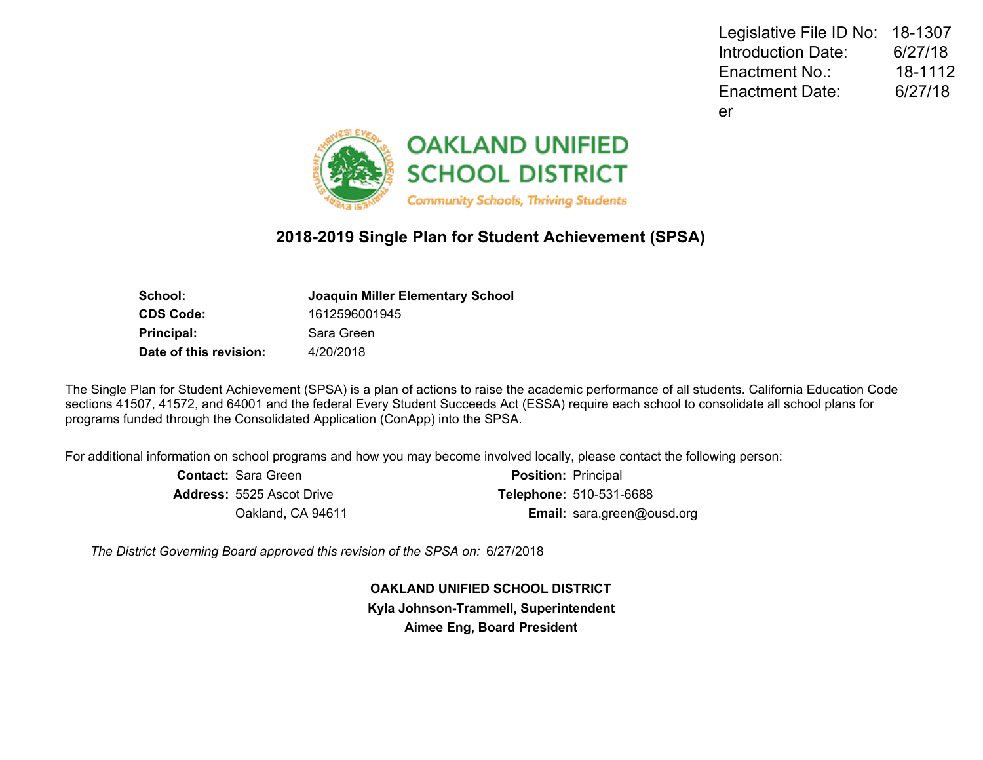Legislative File ID No: 18-1307 Introduction Date: 6/27/18 Enactment No.: 18-1112 Enactment Date: 6/27/18 er



# **2018-2019 Single Plan for Student Achievement (SPSA)**

| <b>Joaquin Miller Elementary School</b> |
|-----------------------------------------|
| 1612596001945                           |
| Sara Green                              |
| 4/20/2018                               |
|                                         |

The Single Plan for Student Achievement (SPSA) is a plan of actions to raise the academic performance of all students. California Education Code sections 41507, 41572, and 64001 and the federal Every Student Succeeds Act (ESSA) require each school to consolidate all school plans for programs funded through the Consolidated Application (ConApp) into the SPSA.

For additional information on school programs and how you may become involved locally, please contact the following person:

| <b>Contact: Sara Green</b>       | <b>Position: Principal</b>        |
|----------------------------------|-----------------------------------|
| <b>Address: 5525 Ascot Drive</b> | <b>Telephone: 510-531-6688</b>    |
| Oakland, CA 94611                | <b>Email:</b> sara.green@ousd.org |

*The District Governing Board approved this revision of the SPSA on:* 6/27/2018

**OAKLAND UNIFIED SCHOOL DISTRICT Kyla Johnson-Trammell, Superintendent Aimee Eng, Board President**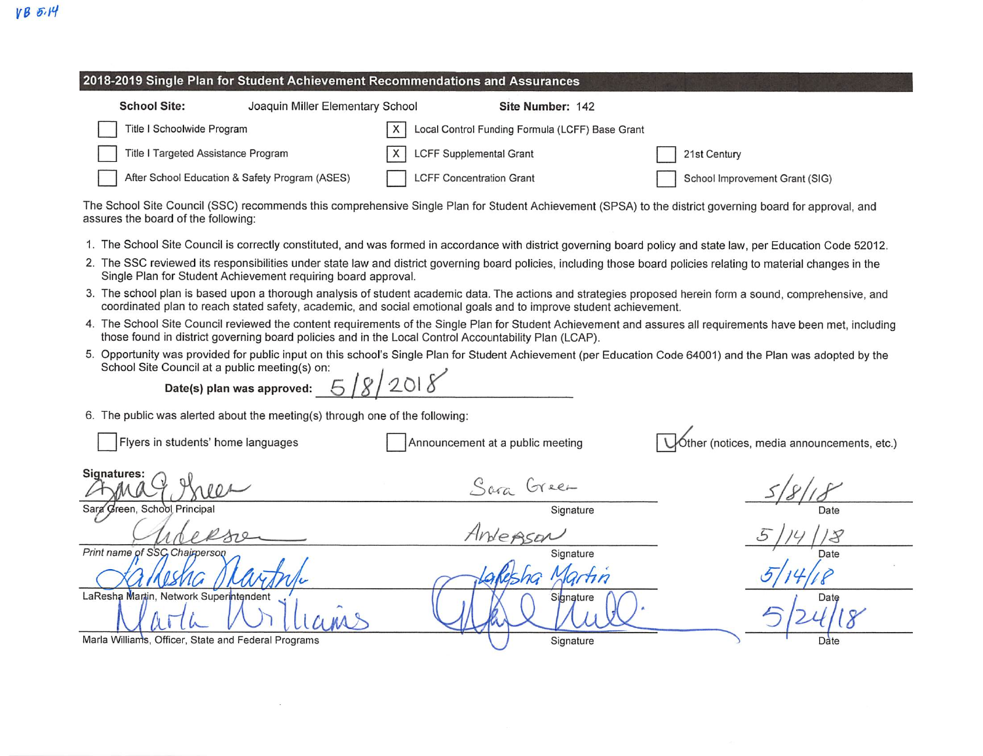#### 2018-2019 Single Plan for Student Achievement Recommendations and Assurances **School Site:** Joaquin Miller Elementary School Site Number: 142 Title I Schoolwide Program  $\times$ Local Control Funding Formula (LCFF) Base Grant Title I Targeted Assistance Program **LCFF Supplemental Grant** 21st Century

**LCFF Concentration Grant** 

School Improvement Grant (SIG)

The School Site Council (SSC) recommends this comprehensive Single Plan for Student Achievement (SPSA) to the district governing board for approval, and assures the board of the following:

- 1. The School Site Council is correctly constituted, and was formed in accordance with district governing board policy and state law, per Education Code 52012.
- 2. The SSC reviewed its responsibilities under state law and district governing board policies, including those board policies relating to material changes in the Single Plan for Student Achievement requiring board approval.
- 3. The school plan is based upon a thorough analysis of student academic data. The actions and strategies proposed herein form a sound, comprehensive, and coordinated plan to reach stated safety, academic, and social emotional goals and to improve student achievement.
- 4. The School Site Council reviewed the content requirements of the Single Plan for Student Achievement and assures all requirements have been met, including those found in district governing board policies and in the Local Control Accountability Plan (LCAP).
- 5. Opportunity was provided for public input on this school's Single Plan for Student Achievement (per Education Code 64001) and the Plan was adopted by the School Site Council at a public meeting(s) on:  $518/2018$

Date(s) plan was approved:

After School Education & Safety Program (ASES)

6. The public was alerted about the meeting(s) through one of the following:

Flyers in students' home languages Óther (notices, media announcements, etc.) Announcement at a public meeting Signatures: Sara Green Sara Green, School Principal Signature Date Anderson Print name of SSC Chairperson Signature lartin LaResha Martin, Network Superintendent Signature Date Marla Williams, Officer, State and Federal Programs Signature Date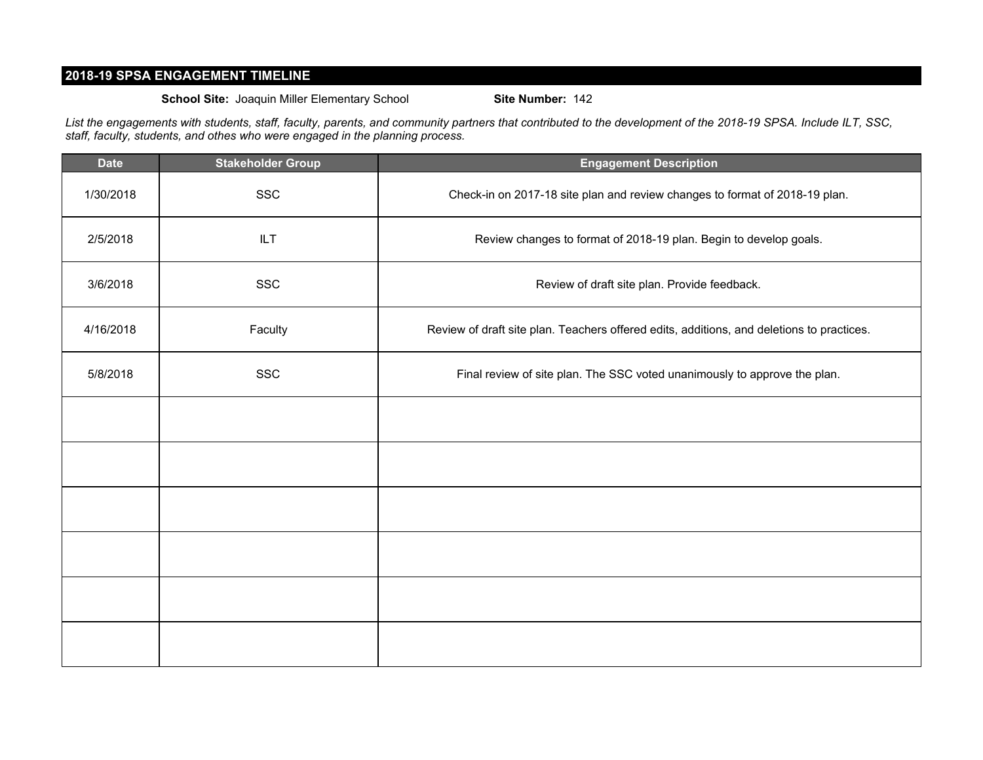# **2018-19 SPSA ENGAGEMENT TIMELINE**

**School Site:** Joaquin Miller Elementary School **Site Number:** 142

*List the engagements with students, staff, faculty, parents, and community partners that contributed to the development of the 2018-19 SPSA. Include ILT, SSC, staff, faculty, students, and othes who were engaged in the planning process.*

| <b>Date</b> | <b>Stakeholder Group</b> | <b>Engagement Description</b>                                                             |
|-------------|--------------------------|-------------------------------------------------------------------------------------------|
| 1/30/2018   | <b>SSC</b>               | Check-in on 2017-18 site plan and review changes to format of 2018-19 plan.               |
| 2/5/2018    | ILT                      | Review changes to format of 2018-19 plan. Begin to develop goals.                         |
| 3/6/2018    | <b>SSC</b>               | Review of draft site plan. Provide feedback.                                              |
| 4/16/2018   | Faculty                  | Review of draft site plan. Teachers offered edits, additions, and deletions to practices. |
| 5/8/2018    | <b>SSC</b>               | Final review of site plan. The SSC voted unanimously to approve the plan.                 |
|             |                          |                                                                                           |
|             |                          |                                                                                           |
|             |                          |                                                                                           |
|             |                          |                                                                                           |
|             |                          |                                                                                           |
|             |                          |                                                                                           |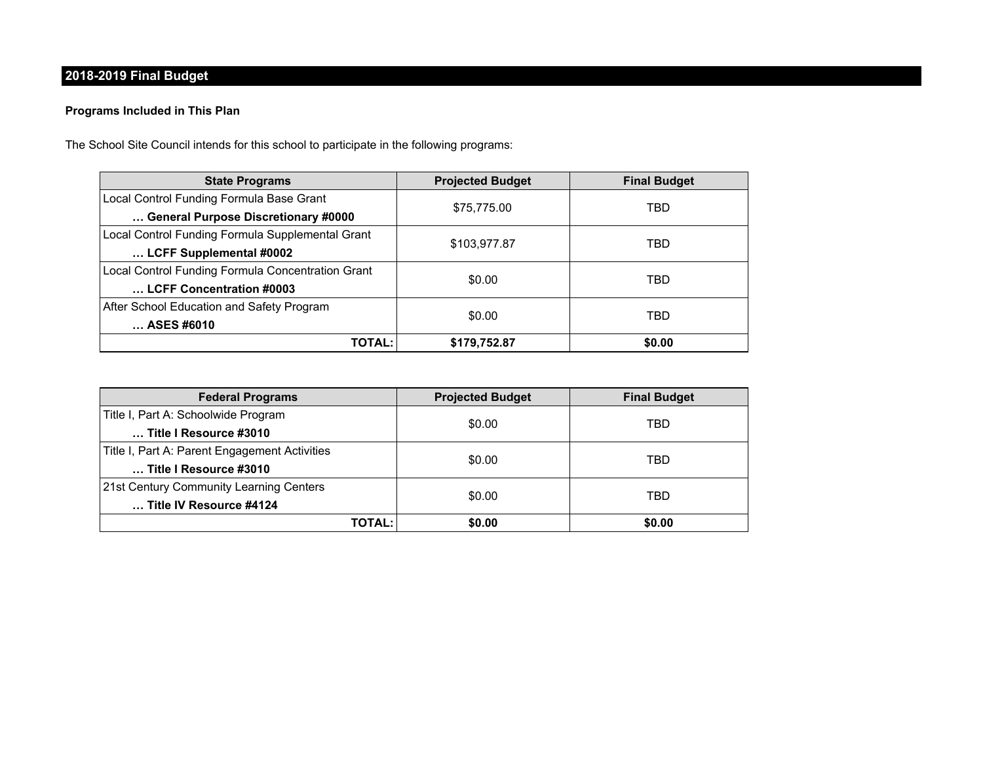# **2018-2019 Final Budget**

## **Programs Included in This Plan**

The School Site Council intends for this school to participate in the following programs:

| <b>State Programs</b>                             | <b>Projected Budget</b> | <b>Final Budget</b> |  |
|---------------------------------------------------|-------------------------|---------------------|--|
| Local Control Funding Formula Base Grant          |                         | TBD                 |  |
| General Purpose Discretionary #0000               | \$75,775.00             |                     |  |
| Local Control Funding Formula Supplemental Grant  |                         |                     |  |
| LCFF Supplemental #0002                           | \$103,977.87            | TBD                 |  |
| Local Control Funding Formula Concentration Grant | \$0.00                  | TBD                 |  |
| LCFF Concentration #0003                          |                         |                     |  |
| After School Education and Safety Program         |                         |                     |  |
| ASES #6010                                        | \$0.00                  | TBD                 |  |
| <b>TOTAL:</b>                                     | \$179,752.87            | \$0.00              |  |

| <b>Federal Programs</b>                       | <b>Projected Budget</b> | <b>Final Budget</b> |  |
|-----------------------------------------------|-------------------------|---------------------|--|
| Title I, Part A: Schoolwide Program           |                         | TBD                 |  |
| Title I Resource #3010                        | \$0.00                  |                     |  |
| Title I, Part A: Parent Engagement Activities |                         | TBD                 |  |
| Title I Resource #3010                        | \$0.00                  |                     |  |
| 21st Century Community Learning Centers       |                         | TBD                 |  |
| Title IV Resource #4124                       | \$0.00                  |                     |  |
| TOTAL:                                        | \$0.00                  | \$0.00              |  |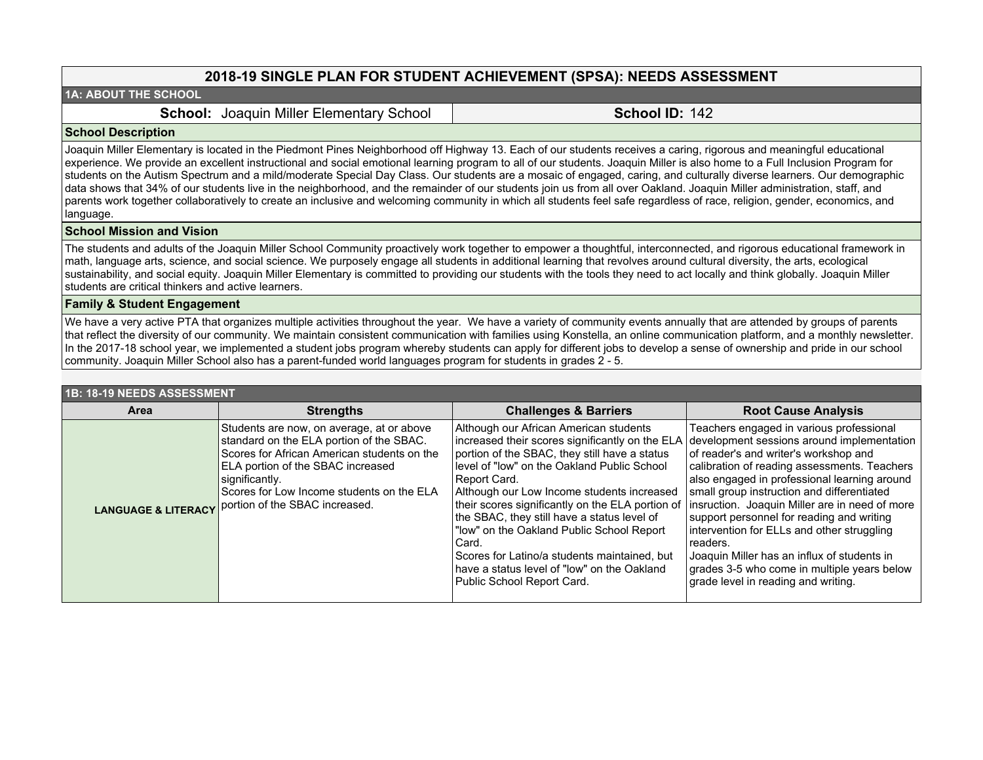# **2018-19 SINGLE PLAN FOR STUDENT ACHIEVEMENT (SPSA): NEEDS ASSESSMENT**

#### **1A: ABOUT THE SCHOOL**

**School: Joaquin Miller Elementary School | School ID: 142** 

#### **School Description**

Joaquin Miller Elementary is located in the Piedmont Pines Neighborhood off Highway 13. Each of our students receives a caring, rigorous and meaningful educational experience. We provide an excellent instructional and social emotional learning program to all of our students. Joaquin Miller is also home to a Full Inclusion Program for students on the Autism Spectrum and a mild/moderate Special Day Class. Our students are a mosaic of engaged, caring, and culturally diverse learners. Our demographic data shows that 34% of our students live in the neighborhood, and the remainder of our students join us from all over Oakland. Joaquin Miller administration, staff, and parents work together collaboratively to create an inclusive and welcoming community in which all students feel safe regardless of race, religion, gender, economics, and language.

#### **School Mission and Vision**

The students and adults of the Joaquin Miller School Community proactively work together to empower a thoughtful, interconnected, and rigorous educational framework in math, language arts, science, and social science. We purposely engage all students in additional learning that revolves around cultural diversity, the arts, ecological sustainability, and social equity. Joaquin Miller Elementary is committed to providing our students with the tools they need to act locally and think globally. Joaquin Miller students are critical thinkers and active learners.

#### **Family & Student Engagement**

We have a very active PTA that organizes multiple activities throughout the year. We have a variety of community events annually that are attended by groups of parents that reflect the diversity of our community. We maintain consistent communication with families using Konstella, an online communication platform, and a monthly newsletter. In the 2017-18 school year, we implemented a student jobs program whereby students can apply for different jobs to develop a sense of ownership and pride in our school community. Joaquin Miller School also has a parent-funded world languages program for students in grades 2 - 5.

| 1B: 18-19 NEEDS ASSESSMENT |                                                                                                                                                                                                                                                                                                           |                                                                                                                                                                                                                                                                                                                                                                                                                                                                                                                                               |                                                                                                                                                                                                                                                                                                                                                                                                                                                                                                                                                                             |  |  |  |
|----------------------------|-----------------------------------------------------------------------------------------------------------------------------------------------------------------------------------------------------------------------------------------------------------------------------------------------------------|-----------------------------------------------------------------------------------------------------------------------------------------------------------------------------------------------------------------------------------------------------------------------------------------------------------------------------------------------------------------------------------------------------------------------------------------------------------------------------------------------------------------------------------------------|-----------------------------------------------------------------------------------------------------------------------------------------------------------------------------------------------------------------------------------------------------------------------------------------------------------------------------------------------------------------------------------------------------------------------------------------------------------------------------------------------------------------------------------------------------------------------------|--|--|--|
| Area<br><b>Strengths</b>   |                                                                                                                                                                                                                                                                                                           | <b>Challenges &amp; Barriers</b>                                                                                                                                                                                                                                                                                                                                                                                                                                                                                                              | <b>Root Cause Analysis</b>                                                                                                                                                                                                                                                                                                                                                                                                                                                                                                                                                  |  |  |  |
|                            | Students are now, on average, at or above<br>standard on the ELA portion of the SBAC.<br>Scores for African American students on the<br>ELA portion of the SBAC increased<br>significantly.<br>Scores for Low Income students on the ELA<br><b>LANGUAGE &amp; LITERACY</b> portion of the SBAC increased. | Although our African American students<br>increased their scores significantly on the ELA<br>portion of the SBAC, they still have a status<br>level of "low" on the Oakland Public School<br>Report Card.<br>Although our Low Income students increased<br>their scores significantly on the ELA portion of<br>the SBAC, they still have a status level of<br>"low" on the Oakland Public School Report<br>Card.<br>Scores for Latino/a students maintained, but<br>have a status level of "low" on the Oakland<br>Public School Report Card. | Teachers engaged in various professional<br>development sessions around implementation<br>of reader's and writer's workshop and<br>calibration of reading assessments. Teachers<br>also engaged in professional learning around<br>small group instruction and differentiated<br>insruction. Joaquin Miller are in need of more<br>support personnel for reading and writing<br>intervention for ELLs and other struggling<br>readers.<br>Joaquin Miller has an influx of students in<br>grades 3-5 who come in multiple years below<br>grade level in reading and writing. |  |  |  |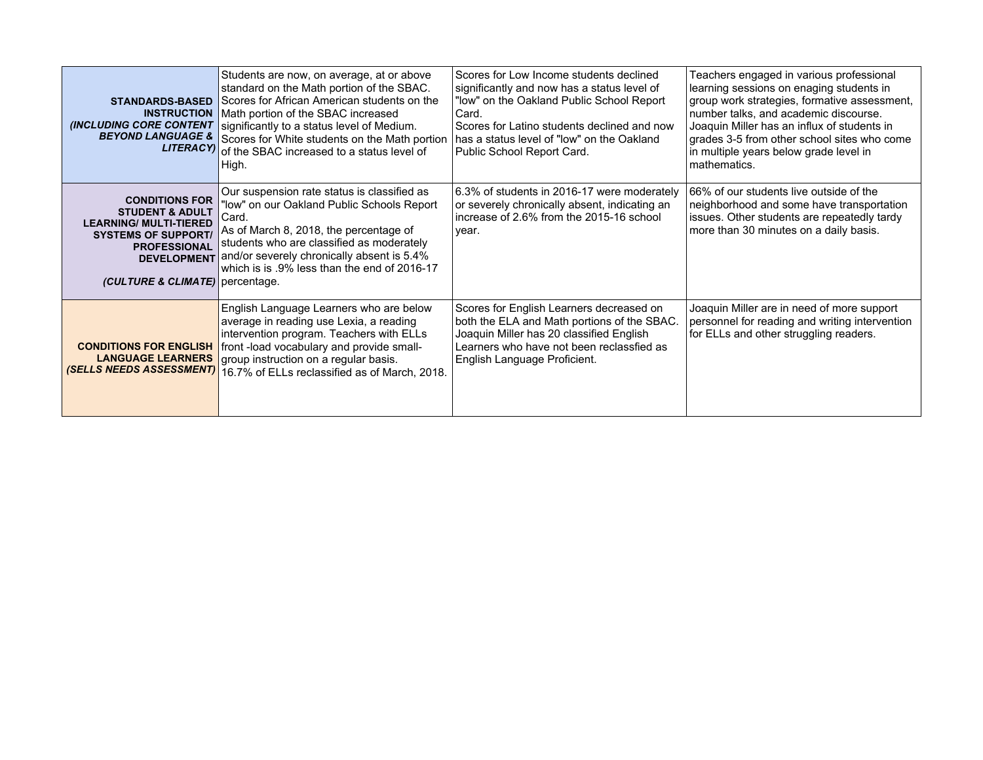| <b>STANDARDS-BASED</b><br><b>INSTRUCTION</b><br><b>(INCLUDING CORE CONTENT</b><br><b>BEYOND LANGUAGE &amp;</b><br><b>LITERACYI</b>                                             | Students are now, on average, at or above<br>standard on the Math portion of the SBAC.<br>Scores for African American students on the<br>Math portion of the SBAC increased<br>significantly to a status level of Medium.<br>Scores for White students on the Math portion<br>of the SBAC increased to a status level of<br>High. | Scores for Low Income students declined<br>significantly and now has a status level of<br>"low" on the Oakland Public School Report<br>Card.<br>Scores for Latino students declined and now<br>has a status level of "low" on the Oakland<br>Public School Report Card. | Teachers engaged in various professional<br>learning sessions on enaging students in<br>group work strategies, formative assessment,<br>number talks, and academic discourse.<br>Joaquin Miller has an influx of students in<br>grades 3-5 from other school sites who come<br>in multiple years below grade level in<br>mathematics. |
|--------------------------------------------------------------------------------------------------------------------------------------------------------------------------------|-----------------------------------------------------------------------------------------------------------------------------------------------------------------------------------------------------------------------------------------------------------------------------------------------------------------------------------|-------------------------------------------------------------------------------------------------------------------------------------------------------------------------------------------------------------------------------------------------------------------------|---------------------------------------------------------------------------------------------------------------------------------------------------------------------------------------------------------------------------------------------------------------------------------------------------------------------------------------|
| <b>CONDITIONS FOR</b><br><b>STUDENT &amp; ADULT</b><br><b>LEARNING/ MULTI-TIERED</b><br><b>SYSTEMS OF SUPPORT/</b><br><b>PROFESSIONAL</b><br>(CULTURE & CLIMATE)   percentage. | Our suspension rate status is classified as<br>"low" on our Oakland Public Schools Report<br>Card.<br>As of March 8, 2018, the percentage of<br>students who are classified as moderately<br>DEVELOPMENT and/or severely chronically absent is 5.4%<br>which is is .9% less than the end of 2016-17                               | 6.3% of students in 2016-17 were moderately<br>or severely chronically absent, indicating an<br>increase of 2.6% from the 2015-16 school<br>year.                                                                                                                       | 166% of our students live outside of the<br>neighborhood and some have transportation<br>issues. Other students are repeatedly tardy<br>more than 30 minutes on a daily basis.                                                                                                                                                        |
| <b>CONDITIONS FOR ENGLISH</b><br><b>LANGUAGE LEARNERS</b>                                                                                                                      | English Language Learners who are below<br>average in reading use Lexia, a reading<br>intervention program. Teachers with ELLs<br>front-load vocabulary and provide small-<br>group instruction on a regular basis.<br>(SELLS NEEDS ASSESSMENT) 16.7% of ELLs reclassified as of March, 2018.                                     | Scores for English Learners decreased on<br>both the ELA and Math portions of the SBAC.<br>Joaquin Miller has 20 classified English<br>Learners who have not been reclassfied as<br>English Language Proficient.                                                        | Joaquin Miller are in need of more support<br>personnel for reading and writing intervention<br>for ELLs and other struggling readers.                                                                                                                                                                                                |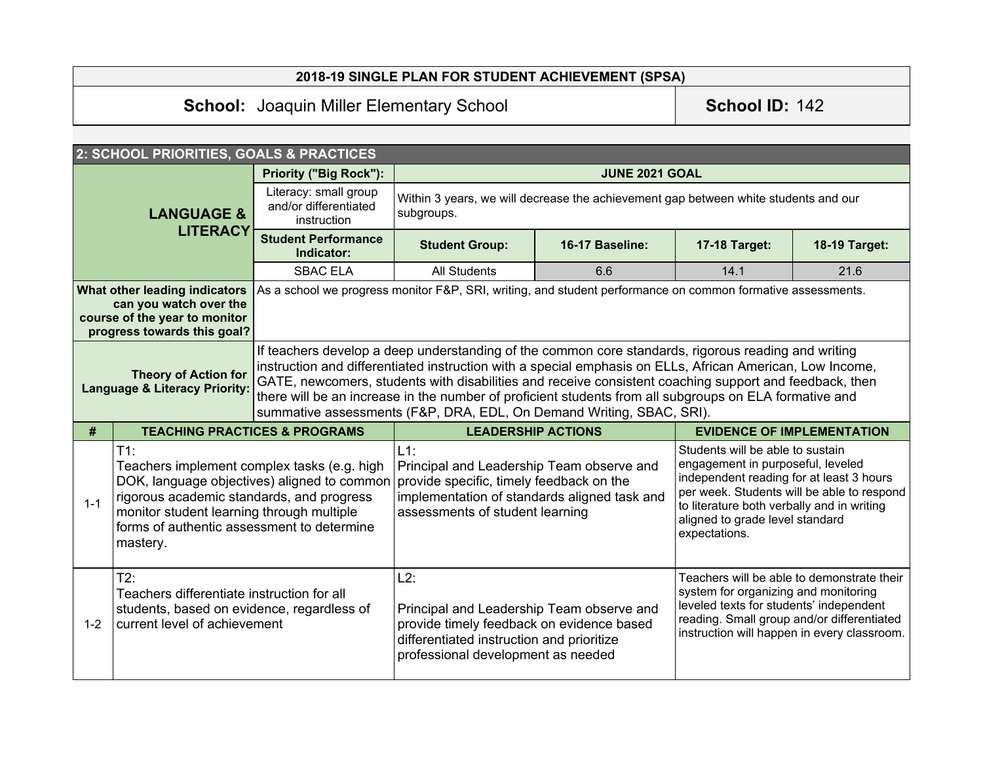# **2018-19 SINGLE PLAN FOR STUDENT ACHIEVEMENT (SPSA)**

# School: Joaquin Miller Elementary School **School ID:** 142

|                                                                                                                                                                                                                                                                                                                                                                                                                                                                                                                                                                                         | 2: SCHOOL PRIORITIES, GOALS & PRACTICES                                                                                         |                                                                                                                                                                                    |                                                                                                                                                                                  |                                                                                                                                                                                                                                                                   |                                                                                                                                                                                                                            |               |
|-----------------------------------------------------------------------------------------------------------------------------------------------------------------------------------------------------------------------------------------------------------------------------------------------------------------------------------------------------------------------------------------------------------------------------------------------------------------------------------------------------------------------------------------------------------------------------------------|---------------------------------------------------------------------------------------------------------------------------------|------------------------------------------------------------------------------------------------------------------------------------------------------------------------------------|----------------------------------------------------------------------------------------------------------------------------------------------------------------------------------|-------------------------------------------------------------------------------------------------------------------------------------------------------------------------------------------------------------------------------------------------------------------|----------------------------------------------------------------------------------------------------------------------------------------------------------------------------------------------------------------------------|---------------|
| <b>LANGUAGE &amp;</b>                                                                                                                                                                                                                                                                                                                                                                                                                                                                                                                                                                   |                                                                                                                                 | <b>Priority ("Big Rock"):</b>                                                                                                                                                      |                                                                                                                                                                                  | <b>JUNE 2021 GOAL</b>                                                                                                                                                                                                                                             |                                                                                                                                                                                                                            |               |
|                                                                                                                                                                                                                                                                                                                                                                                                                                                                                                                                                                                         |                                                                                                                                 | Literacy: small group<br>and/or differentiated<br>instruction                                                                                                                      | Within 3 years, we will decrease the achievement gap between white students and our<br>subgroups.                                                                                |                                                                                                                                                                                                                                                                   |                                                                                                                                                                                                                            |               |
|                                                                                                                                                                                                                                                                                                                                                                                                                                                                                                                                                                                         | <b>LITERACY</b>                                                                                                                 | <b>Student Performance</b><br>Indicator:                                                                                                                                           | <b>Student Group:</b>                                                                                                                                                            | 16-17 Baseline:                                                                                                                                                                                                                                                   | 17-18 Target:                                                                                                                                                                                                              | 18-19 Target: |
|                                                                                                                                                                                                                                                                                                                                                                                                                                                                                                                                                                                         |                                                                                                                                 | <b>SBAC ELA</b>                                                                                                                                                                    | <b>All Students</b>                                                                                                                                                              | 6.6                                                                                                                                                                                                                                                               | 14.1                                                                                                                                                                                                                       | 21.6          |
|                                                                                                                                                                                                                                                                                                                                                                                                                                                                                                                                                                                         | What other leading indicators<br>can you watch over the<br>course of the year to monitor<br>progress towards this goal?         |                                                                                                                                                                                    | As a school we progress monitor F&P, SRI, writing, and student performance on common formative assessments.                                                                      |                                                                                                                                                                                                                                                                   |                                                                                                                                                                                                                            |               |
| If teachers develop a deep understanding of the common core standards, rigorous reading and writing<br>instruction and differentiated instruction with a special emphasis on ELLs, African American, Low Income,<br><b>Theory of Action for</b><br>GATE, newcomers, students with disabilities and receive consistent coaching support and feedback, then<br><b>Language &amp; Literacy Priority:</b><br>there will be an increase in the number of proficient students from all subgroups on ELA formative and<br>summative assessments (F&P, DRA, EDL, On Demand Writing, SBAC, SRI). |                                                                                                                                 |                                                                                                                                                                                    |                                                                                                                                                                                  |                                                                                                                                                                                                                                                                   |                                                                                                                                                                                                                            |               |
| #                                                                                                                                                                                                                                                                                                                                                                                                                                                                                                                                                                                       |                                                                                                                                 | <b>TEACHING PRACTICES &amp; PROGRAMS</b><br><b>LEADERSHIP ACTIONS</b>                                                                                                              |                                                                                                                                                                                  | <b>EVIDENCE OF IMPLEMENTATION</b>                                                                                                                                                                                                                                 |                                                                                                                                                                                                                            |               |
| $T1$ :<br>Teachers implement complex tasks (e.g. high<br>DOK, language objectives) aligned to common<br>rigorous academic standards, and progress<br>$1 - 1$<br>monitor student learning through multiple<br>forms of authentic assessment to determine<br>mastery.                                                                                                                                                                                                                                                                                                                     |                                                                                                                                 | $L1$ :<br>Principal and Leadership Team observe and<br>provide specific, timely feedback on the<br>implementation of standards aligned task and<br>assessments of student learning |                                                                                                                                                                                  | Students will be able to sustain<br>engagement in purposeful, leveled<br>independent reading for at least 3 hours<br>per week. Students will be able to respond<br>to literature both verbally and in writing<br>aligned to grade level standard<br>expectations. |                                                                                                                                                                                                                            |               |
| $1 - 2$                                                                                                                                                                                                                                                                                                                                                                                                                                                                                                                                                                                 | T2:<br>Teachers differentiate instruction for all<br>students, based on evidence, regardless of<br>current level of achievement |                                                                                                                                                                                    | L2:<br>Principal and Leadership Team observe and<br>provide timely feedback on evidence based<br>differentiated instruction and prioritize<br>professional development as needed |                                                                                                                                                                                                                                                                   | Teachers will be able to demonstrate their<br>system for organizing and monitoring<br>leveled texts for students' independent<br>reading. Small group and/or differentiated<br>instruction will happen in every classroom. |               |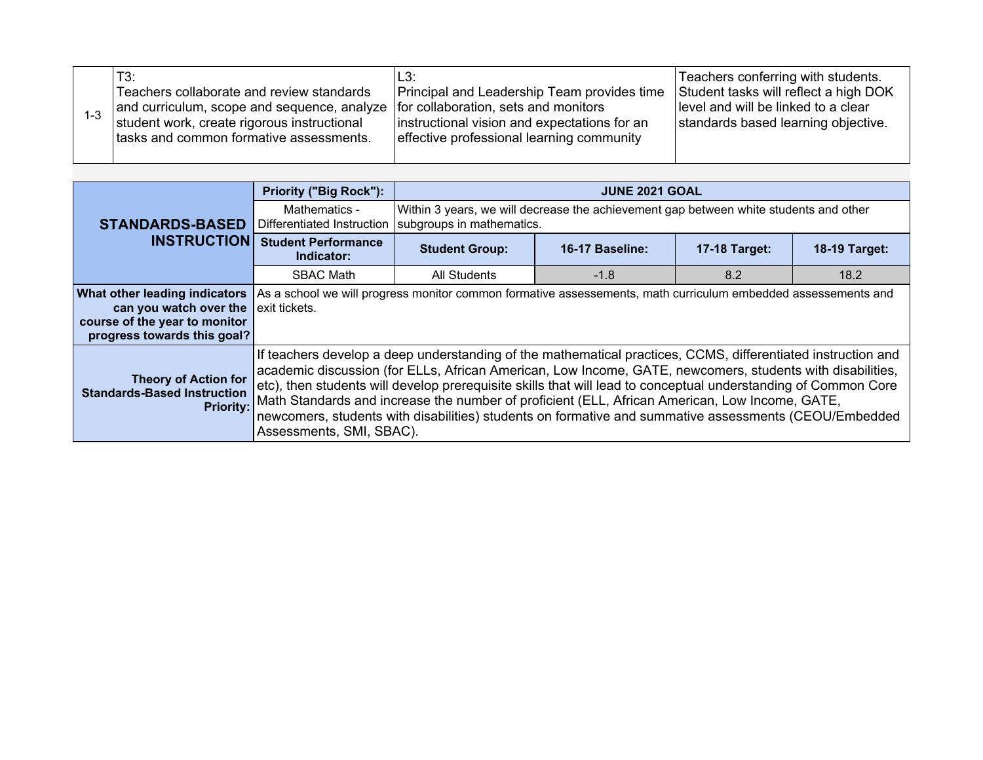|  | T3:<br>Teachers collaborate and review standards<br>and curriculum, scope and sequence, analyze<br>student work, create rigorous instructional<br>Itasks and common formative assessments. | L3:<br>Principal and Leadership Team provides time<br>for collaboration, sets and monitors<br>instructional vision and expectations for an<br>effective professional learning community | Teachers conferring with students.<br>Student tasks will reflect a high DOK<br>level and will be linked to a clear<br>standards based learning objective. |
|--|--------------------------------------------------------------------------------------------------------------------------------------------------------------------------------------------|-----------------------------------------------------------------------------------------------------------------------------------------------------------------------------------------|-----------------------------------------------------------------------------------------------------------------------------------------------------------|
|--|--------------------------------------------------------------------------------------------------------------------------------------------------------------------------------------------|-----------------------------------------------------------------------------------------------------------------------------------------------------------------------------------------|-----------------------------------------------------------------------------------------------------------------------------------------------------------|

|                                                                                                                                                      | <b>Priority ("Big Rock"):</b>                                                                                                                                                                                                                                                                                                                                                                                                                                                                                                                                                      | <b>JUNE 2021 GOAL</b>                                                                                              |                 |                      |                      |
|------------------------------------------------------------------------------------------------------------------------------------------------------|------------------------------------------------------------------------------------------------------------------------------------------------------------------------------------------------------------------------------------------------------------------------------------------------------------------------------------------------------------------------------------------------------------------------------------------------------------------------------------------------------------------------------------------------------------------------------------|--------------------------------------------------------------------------------------------------------------------|-----------------|----------------------|----------------------|
| <b>STANDARDS-BASED</b>                                                                                                                               | Mathematics -<br>Differentiated Instruction                                                                                                                                                                                                                                                                                                                                                                                                                                                                                                                                        | Within 3 years, we will decrease the achievement gap between white students and other<br>subgroups in mathematics. |                 |                      |                      |
| <b>INSTRUCTION</b>                                                                                                                                   | <b>Student Performance</b><br>Indicator:                                                                                                                                                                                                                                                                                                                                                                                                                                                                                                                                           | <b>Student Group:</b>                                                                                              | 16-17 Baseline: | <b>17-18 Target:</b> | <b>18-19 Target:</b> |
|                                                                                                                                                      | <b>SBAC Math</b>                                                                                                                                                                                                                                                                                                                                                                                                                                                                                                                                                                   | All Students                                                                                                       | $-1.8$          | 8.2                  | 18.2                 |
| <b>What other leading indicators</b><br>can you watch over the $\vert$ exit tickets.<br>course of the year to monitor<br>progress towards this goal? | As a school we will progress monitor common formative assessements, math curriculum embedded assessements and                                                                                                                                                                                                                                                                                                                                                                                                                                                                      |                                                                                                                    |                 |                      |                      |
| <b>Theory of Action for</b><br><b>Standards-Based Instruction</b><br>Priority:                                                                       | If teachers develop a deep understanding of the mathematical practices, CCMS, differentiated instruction and<br>academic discussion (for ELLs, African American, Low Income, GATE, newcomers, students with disabilities,<br>etc), then students will develop prerequisite skills that will lead to conceptual understanding of Common Core<br>Math Standards and increase the number of proficient (ELL, African American, Low Income, GATE,<br>newcomers, students with disabilities) students on formative and summative assessments (CEOU/Embedded<br>Assessments, SMI, SBAC). |                                                                                                                    |                 |                      |                      |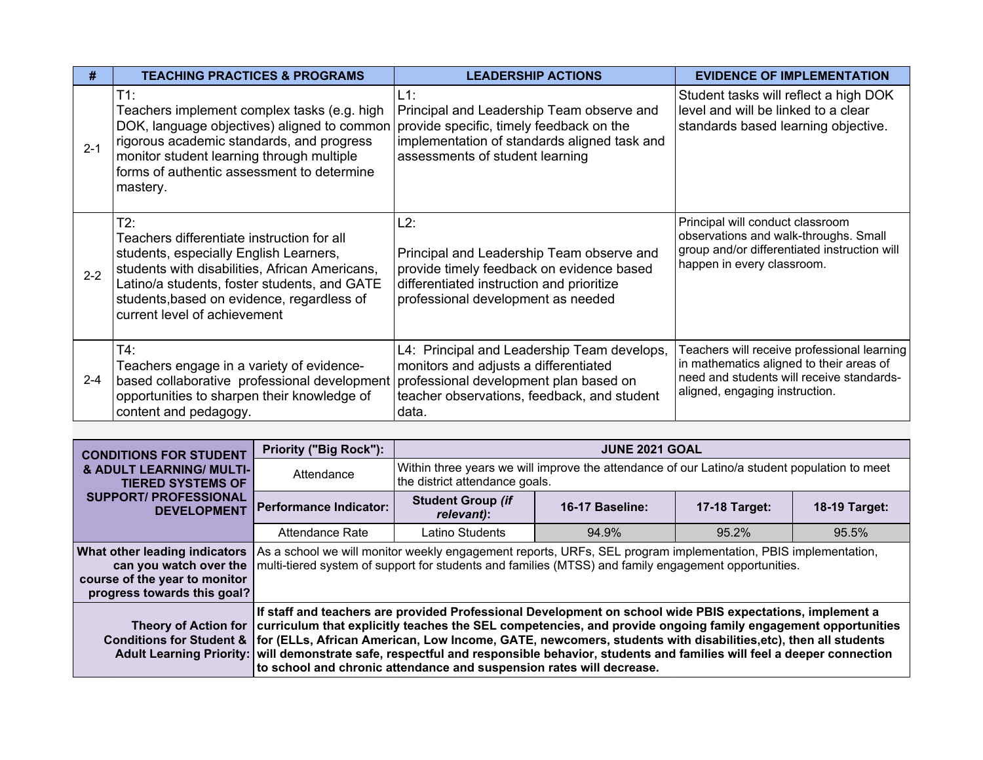| #       | <b>TEACHING PRACTICES &amp; PROGRAMS</b>                                                                                                                                                                                                                                    | <b>LEADERSHIP ACTIONS</b>                                                                                                                                                              | <b>EVIDENCE OF IMPLEMENTATION</b>                                                                                                                                      |
|---------|-----------------------------------------------------------------------------------------------------------------------------------------------------------------------------------------------------------------------------------------------------------------------------|----------------------------------------------------------------------------------------------------------------------------------------------------------------------------------------|------------------------------------------------------------------------------------------------------------------------------------------------------------------------|
| $2 - 1$ | $T1$ :<br>Teachers implement complex tasks (e.g. high<br>DOK, language objectives) aligned to common<br>rigorous academic standards, and progress<br>monitor student learning through multiple<br>forms of authentic assessment to determine<br>mastery.                    | L1:<br>Principal and Leadership Team observe and<br>provide specific, timely feedback on the<br>implementation of standards aligned task and<br>assessments of student learning        | Student tasks will reflect a high DOK<br>level and will be linked to a clear<br>standards based learning objective.                                                    |
| $2 - 2$ | T2:<br>Teachers differentiate instruction for all<br>students, especially English Learners,<br>students with disabilities, African Americans,<br>Latino/a students, foster students, and GATE<br>students, based on evidence, regardless of<br>current level of achievement | L2:<br>Principal and Leadership Team observe and<br>provide timely feedback on evidence based<br>differentiated instruction and prioritize<br>professional development as needed       | Principal will conduct classroom<br>observations and walk-throughs. Small<br>group and/or differentiated instruction will<br>happen in every classroom.                |
| $2 - 4$ | T4:<br>Teachers engage in a variety of evidence-<br>based collaborative professional development<br>opportunities to sharpen their knowledge of<br>content and pedagogy.                                                                                                    | L4: Principal and Leadership Team develops,<br>monitors and adjusts a differentiated<br>professional development plan based on<br>teacher observations, feedback, and student<br>data. | Teachers will receive professional learning<br>in mathematics aligned to their areas of<br>need and students will receive standards-<br>aligned, engaging instruction. |

| <b>CONDITIONS FOR STUDENT</b>                                                                                           | <b>Priority ("Big Rock"):</b>                                                                                                                                                                                                                                                                                                                                                                                                                                                                                                                                                                                  | <b>JUNE 2021 GOAL</b>                                                                                                                                                                                                 |                 |                      |               |  |  |
|-------------------------------------------------------------------------------------------------------------------------|----------------------------------------------------------------------------------------------------------------------------------------------------------------------------------------------------------------------------------------------------------------------------------------------------------------------------------------------------------------------------------------------------------------------------------------------------------------------------------------------------------------------------------------------------------------------------------------------------------------|-----------------------------------------------------------------------------------------------------------------------------------------------------------------------------------------------------------------------|-----------------|----------------------|---------------|--|--|
| & ADULT LEARNING/ MULTI-<br><b>TIERED SYSTEMS OF</b>                                                                    | Attendance                                                                                                                                                                                                                                                                                                                                                                                                                                                                                                                                                                                                     | Within three years we will improve the attendance of our Latino/a student population to meet<br>the district attendance goals.                                                                                        |                 |                      |               |  |  |
| <b>SUPPORT/ PROFESSIONAL</b><br><b>DEVELOPMENT</b>                                                                      | Performance Indicator:                                                                                                                                                                                                                                                                                                                                                                                                                                                                                                                                                                                         | <b>Student Group (if</b><br>relevant):                                                                                                                                                                                | 16-17 Baseline: | <b>17-18 Target:</b> | 18-19 Target: |  |  |
|                                                                                                                         | 95.5%                                                                                                                                                                                                                                                                                                                                                                                                                                                                                                                                                                                                          |                                                                                                                                                                                                                       |                 |                      |               |  |  |
| What other leading indicators<br>can you watch over the<br>course of the year to monitor<br>progress towards this goal? |                                                                                                                                                                                                                                                                                                                                                                                                                                                                                                                                                                                                                | As a school we will monitor weekly engagement reports, URFs, SEL program implementation, PBIS implementation,<br>multi-tiered system of support for students and families (MTSS) and family engagement opportunities. |                 |                      |               |  |  |
|                                                                                                                         | If staff and teachers are provided Professional Development on school wide PBIS expectations, implement a<br>Theory of Action for curriculum that explicitly teaches the SEL competencies, and provide ongoing family engagement opportunities<br>Conditions for Student &   for (ELLs, African American, Low Income, GATE, newcomers, students with disabilities, etc), then all students<br>Adult Learning Priority: will demonstrate safe, respectful and responsible behavior, students and families will feel a deeper connection<br>to school and chronic attendance and suspension rates will decrease. |                                                                                                                                                                                                                       |                 |                      |               |  |  |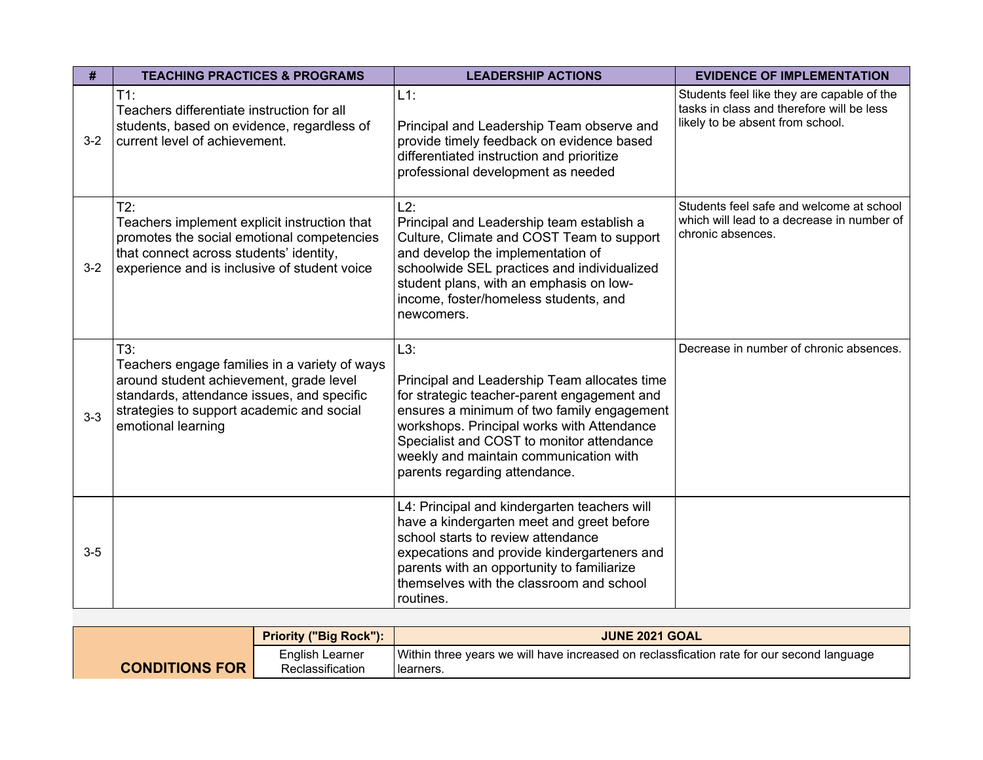| #       | <b>TEACHING PRACTICES &amp; PROGRAMS</b>                                                                                                                                                                         | <b>LEADERSHIP ACTIONS</b>                                                                                                                                                                                                                                                                                              | <b>EVIDENCE OF IMPLEMENTATION</b>                                                                                           |
|---------|------------------------------------------------------------------------------------------------------------------------------------------------------------------------------------------------------------------|------------------------------------------------------------------------------------------------------------------------------------------------------------------------------------------------------------------------------------------------------------------------------------------------------------------------|-----------------------------------------------------------------------------------------------------------------------------|
| $3 - 2$ | $T1$ :<br>Teachers differentiate instruction for all<br>students, based on evidence, regardless of<br>current level of achievement.                                                                              | $L1$ :<br>Principal and Leadership Team observe and<br>provide timely feedback on evidence based<br>differentiated instruction and prioritize<br>professional development as needed                                                                                                                                    | Students feel like they are capable of the<br>tasks in class and therefore will be less<br>likely to be absent from school. |
| $3-2$   | T2:<br>Teachers implement explicit instruction that<br>promotes the social emotional competencies<br>that connect across students' identity,<br>experience and is inclusive of student voice                     | L2:<br>Principal and Leadership team establish a<br>Culture, Climate and COST Team to support<br>and develop the implementation of<br>schoolwide SEL practices and individualized<br>student plans, with an emphasis on low-<br>income, foster/homeless students, and<br>newcomers.                                    | Students feel safe and welcome at school<br>which will lead to a decrease in number of<br>chronic absences.                 |
| $3 - 3$ | T3:<br>Teachers engage families in a variety of ways<br>around student achievement, grade level<br>standards, attendance issues, and specific<br>strategies to support academic and social<br>emotional learning | L3:<br>Principal and Leadership Team allocates time<br>for strategic teacher-parent engagement and<br>ensures a minimum of two family engagement<br>workshops. Principal works with Attendance<br>Specialist and COST to monitor attendance<br>weekly and maintain communication with<br>parents regarding attendance. | Decrease in number of chronic absences.                                                                                     |
| $3-5$   |                                                                                                                                                                                                                  | L4: Principal and kindergarten teachers will<br>have a kindergarten meet and greet before<br>school starts to review attendance<br>expecations and provide kindergarteners and<br>parents with an opportunity to familiarize<br>themselves with the classroom and school<br>routines.                                  |                                                                                                                             |

|                       | <b>Priority ("Big Rock"):</b>       | <b>JUNE 2021 GOAL</b>                                                                                  |
|-----------------------|-------------------------------------|--------------------------------------------------------------------------------------------------------|
| <b>CONDITIONS FOR</b> | English Learner<br>Reclassification | Within three years we will have increased on reclassfication rate for our second language<br>learners. |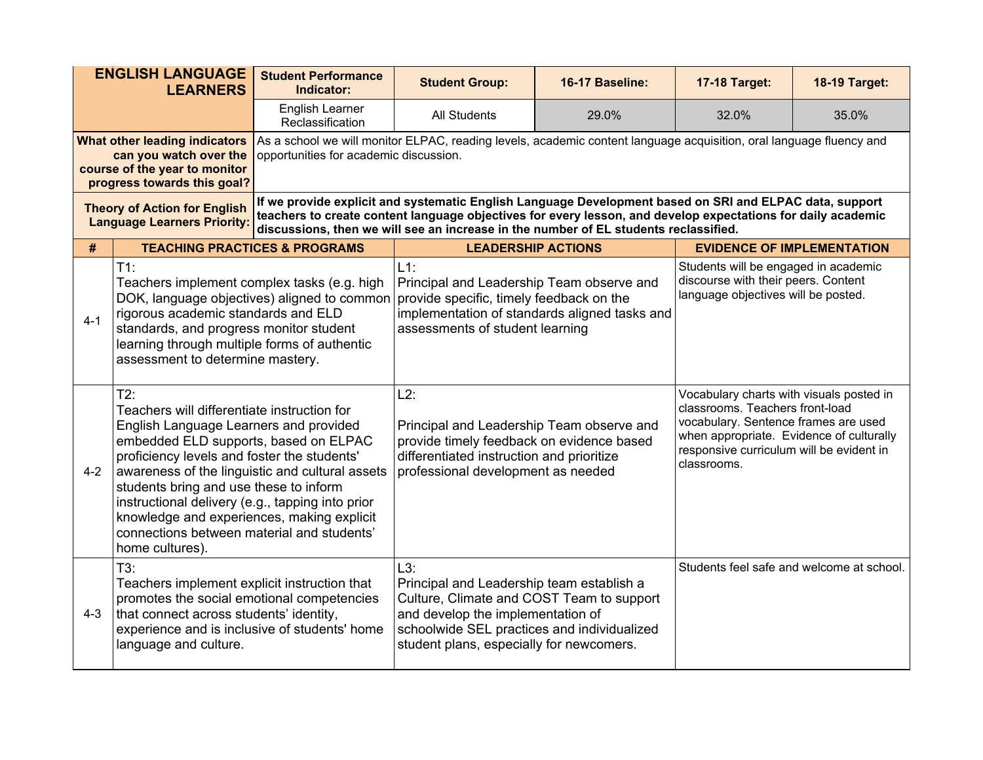| <b>ENGLISH LANGUAGE</b><br><b>LEARNERS</b>                                                                                                                        |                                                                                                                                                                                                                                                                                                                                                                                                                                                      | <b>Student Performance</b><br>Indicator:                                                                                                                                                                                                                                          | <b>Student Group:</b>                                                                                                                                                                                                                                                                                           | 16-17 Baseline:                                                                                                    | <b>17-18 Target:</b>                                                                                                                                                                                                       | <b>18-19 Target:</b>                      |
|-------------------------------------------------------------------------------------------------------------------------------------------------------------------|------------------------------------------------------------------------------------------------------------------------------------------------------------------------------------------------------------------------------------------------------------------------------------------------------------------------------------------------------------------------------------------------------------------------------------------------------|-----------------------------------------------------------------------------------------------------------------------------------------------------------------------------------------------------------------------------------------------------------------------------------|-----------------------------------------------------------------------------------------------------------------------------------------------------------------------------------------------------------------------------------------------------------------------------------------------------------------|--------------------------------------------------------------------------------------------------------------------|----------------------------------------------------------------------------------------------------------------------------------------------------------------------------------------------------------------------------|-------------------------------------------|
|                                                                                                                                                                   |                                                                                                                                                                                                                                                                                                                                                                                                                                                      | English Learner<br>Reclassification                                                                                                                                                                                                                                               | <b>All Students</b>                                                                                                                                                                                                                                                                                             | 29.0%                                                                                                              | 32.0%                                                                                                                                                                                                                      | 35.0%                                     |
| What other leading indicators<br>can you watch over the<br>opportunities for academic discussion.<br>course of the year to monitor<br>progress towards this goal? |                                                                                                                                                                                                                                                                                                                                                                                                                                                      |                                                                                                                                                                                                                                                                                   | As a school we will monitor ELPAC, reading levels, academic content language acquisition, oral language fluency and                                                                                                                                                                                             |                                                                                                                    |                                                                                                                                                                                                                            |                                           |
| <b>Theory of Action for English</b><br><b>Language Learners Priority:</b>                                                                                         |                                                                                                                                                                                                                                                                                                                                                                                                                                                      |                                                                                                                                                                                                                                                                                   | If we provide explicit and systematic English Language Development based on SRI and ELPAC data, support<br>teachers to create content language objectives for every lesson, and develop expectations for daily academic<br>discussions, then we will see an increase in the number of EL students reclassified. |                                                                                                                    |                                                                                                                                                                                                                            |                                           |
| <b>TEACHING PRACTICES &amp; PROGRAMS</b><br>#                                                                                                                     |                                                                                                                                                                                                                                                                                                                                                                                                                                                      |                                                                                                                                                                                                                                                                                   | <b>LEADERSHIP ACTIONS</b>                                                                                                                                                                                                                                                                                       |                                                                                                                    |                                                                                                                                                                                                                            | <b>EVIDENCE OF IMPLEMENTATION</b>         |
| $4 - 1$                                                                                                                                                           | $T1$ :<br>rigorous academic standards and ELD<br>standards, and progress monitor student<br>learning through multiple forms of authentic<br>assessment to determine mastery.                                                                                                                                                                                                                                                                         | $L1$ :<br>Teachers implement complex tasks (e.g. high<br>Principal and Leadership Team observe and<br>DOK, language objectives) aligned to common<br>provide specific, timely feedback on the<br>implementation of standards aligned tasks and<br>assessments of student learning |                                                                                                                                                                                                                                                                                                                 | Students will be engaged in academic<br>discourse with their peers. Content<br>language objectives will be posted. |                                                                                                                                                                                                                            |                                           |
| $4 - 2$                                                                                                                                                           | T2:<br>Teachers will differentiate instruction for<br>English Language Learners and provided<br>embedded ELD supports, based on ELPAC<br>proficiency levels and foster the students'<br>awareness of the linguistic and cultural assets<br>students bring and use these to inform<br>instructional delivery (e.g., tapping into prior<br>knowledge and experiences, making explicit<br>connections between material and students'<br>home cultures). |                                                                                                                                                                                                                                                                                   | L2:<br>Principal and Leadership Team observe and<br>provide timely feedback on evidence based<br>differentiated instruction and prioritize<br>professional development as needed                                                                                                                                |                                                                                                                    | Vocabulary charts with visuals posted in<br>classrooms. Teachers front-load<br>vocabulary. Sentence frames are used<br>when appropriate. Evidence of culturally<br>responsive curriculum will be evident in<br>classrooms. |                                           |
| $4 - 3$                                                                                                                                                           | T3:<br>Teachers implement explicit instruction that<br>promotes the social emotional competencies<br>that connect across students' identity,<br>experience and is inclusive of students' home<br>language and culture.                                                                                                                                                                                                                               |                                                                                                                                                                                                                                                                                   | L3:<br>Principal and Leadership team establish a<br>Culture, Climate and COST Team to support<br>and develop the implementation of<br>schoolwide SEL practices and individualized<br>student plans, especially for newcomers.                                                                                   |                                                                                                                    |                                                                                                                                                                                                                            | Students feel safe and welcome at school. |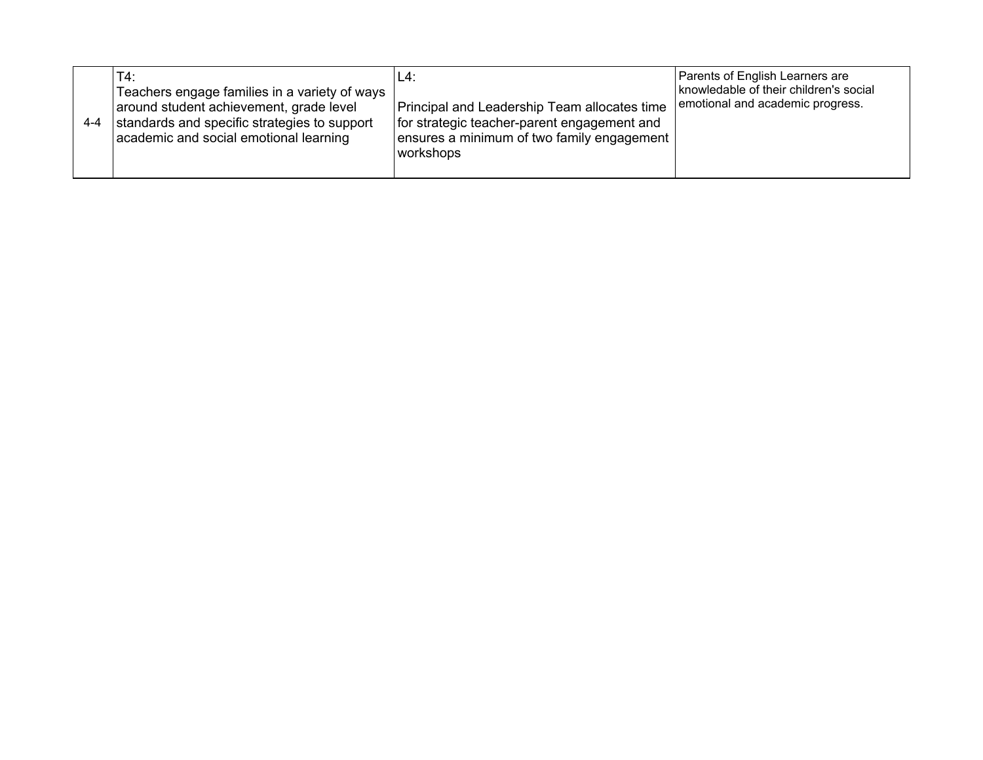| 4-4 | T4:<br>Teachers engage families in a variety of ways<br>around student achievement, grade level<br>standards and specific strategies to support<br>academic and social emotional learning | L4:<br>Principal and Leadership Team allocates time<br>for strategic teacher-parent engagement and<br>ensures a minimum of two family engagement<br>workshops | Parents of English Learners are<br>knowledable of their children's social<br>emotional and academic progress. |  |
|-----|-------------------------------------------------------------------------------------------------------------------------------------------------------------------------------------------|---------------------------------------------------------------------------------------------------------------------------------------------------------------|---------------------------------------------------------------------------------------------------------------|--|
|-----|-------------------------------------------------------------------------------------------------------------------------------------------------------------------------------------------|---------------------------------------------------------------------------------------------------------------------------------------------------------------|---------------------------------------------------------------------------------------------------------------|--|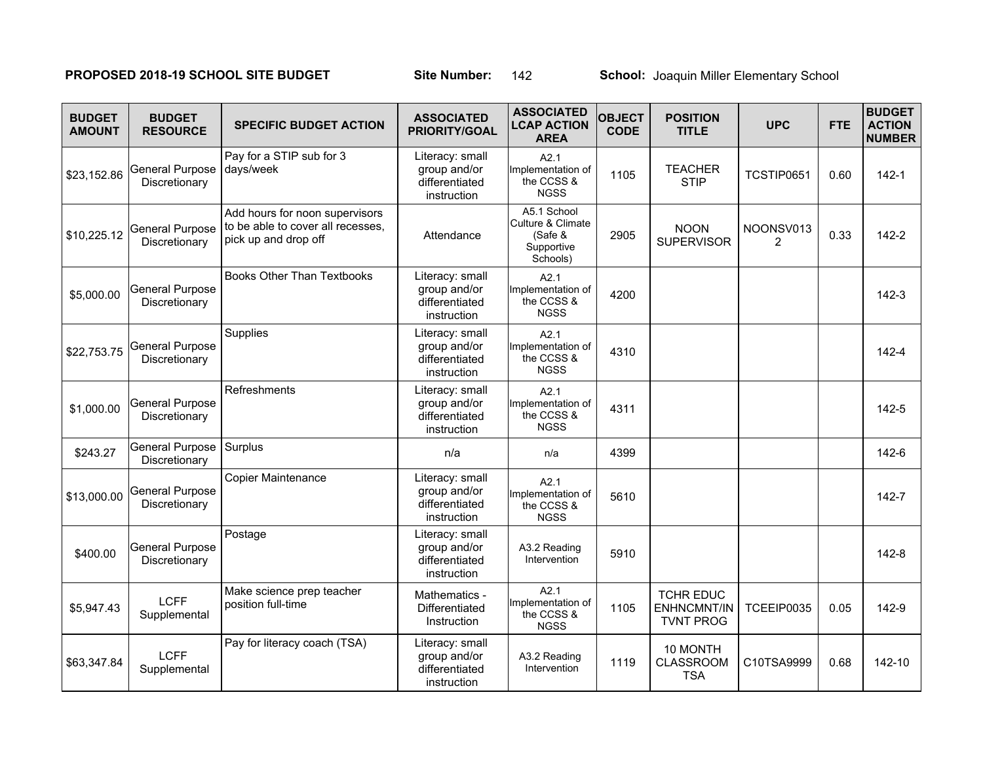# **PROPOSED 2018-19 SCHOOL SITE BUDGET Site Number: 142 School: Joaquin Miller Elementary School**

| <b>BUDGET</b><br><b>AMOUNT</b> | <b>BUDGET</b><br><b>RESOURCE</b>        | <b>SPECIFIC BUDGET ACTION</b>                                                               | <b>ASSOCIATED</b><br><b>PRIORITY/GOAL</b>                        | <b>ASSOCIATED</b><br><b>LCAP ACTION</b><br><b>AREA</b>                | <b>OBJECT</b><br><b>CODE</b> | <b>POSITION</b><br><b>TITLE</b>                            | <b>UPC</b>                  | <b>FTE</b> | <b>BUDGET</b><br><b>ACTION</b><br><b>NUMBER</b> |
|--------------------------------|-----------------------------------------|---------------------------------------------------------------------------------------------|------------------------------------------------------------------|-----------------------------------------------------------------------|------------------------------|------------------------------------------------------------|-----------------------------|------------|-------------------------------------------------|
| \$23,152.86                    | General Purpose<br>Discretionary        | Pay for a STIP sub for 3<br>days/week                                                       | Literacy: small<br>group and/or<br>differentiated<br>instruction | A2.1<br>Implementation of<br>the CCSS &<br><b>NGSS</b>                | 1105                         | <b>TEACHER</b><br><b>STIP</b>                              | TCSTIP0651                  | 0.60       | $142 - 1$                                       |
| \$10,225.12                    | <b>General Purpose</b><br>Discretionary | Add hours for noon supervisors<br>to be able to cover all recesses,<br>pick up and drop off | Attendance                                                       | A5.1 School<br>Culture & Climate<br>(Safe &<br>Supportive<br>Schools) | 2905                         | <b>NOON</b><br><b>SUPERVISOR</b>                           | NOONSV013<br>$\overline{2}$ | 0.33       | 142-2                                           |
| \$5,000.00                     | <b>General Purpose</b><br>Discretionary | <b>Books Other Than Textbooks</b>                                                           | Literacy: small<br>group and/or<br>differentiated<br>instruction | A2.1<br>Implementation of<br>the CCSS &<br><b>NGSS</b>                | 4200                         |                                                            |                             |            | $142 - 3$                                       |
| \$22,753.75                    | <b>General Purpose</b><br>Discretionary | Supplies                                                                                    | Literacy: small<br>group and/or<br>differentiated<br>instruction | A2.1<br>Implementation of<br>the CCSS &<br><b>NGSS</b>                | 4310                         |                                                            |                             |            | $142 - 4$                                       |
| \$1,000.00                     | <b>General Purpose</b><br>Discretionary | Refreshments                                                                                | Literacy: small<br>group and/or<br>differentiated<br>instruction | A2.1<br>Implementation of<br>the CCSS &<br><b>NGSS</b>                | 4311                         |                                                            |                             |            | $142 - 5$                                       |
| \$243.27                       | General Purpose<br>Discretionary        | Surplus                                                                                     | n/a                                                              | n/a                                                                   | 4399                         |                                                            |                             |            | $142-6$                                         |
| \$13,000.00                    | <b>General Purpose</b><br>Discretionary | <b>Copier Maintenance</b>                                                                   | Literacy: small<br>group and/or<br>differentiated<br>instruction | A2.1<br>Implementation of<br>the CCSS &<br><b>NGSS</b>                | 5610                         |                                                            |                             |            | $142 - 7$                                       |
| \$400.00                       | <b>General Purpose</b><br>Discretionary | Postage                                                                                     | Literacy: small<br>group and/or<br>differentiated<br>instruction | A3.2 Reading<br>Intervention                                          | 5910                         |                                                            |                             |            | 142-8                                           |
| \$5,947.43                     | <b>LCFF</b><br>Supplemental             | Make science prep teacher<br>position full-time                                             | Mathematics -<br>Differentiated<br>Instruction                   | A2.1<br>Implementation of<br>the CCSS &<br><b>NGSS</b>                | 1105                         | <b>TCHR EDUC</b><br><b>ENHNCMNT/IN</b><br><b>TVNT PROG</b> | TCEEIP0035                  | 0.05       | 142-9                                           |
| \$63,347.84                    | <b>LCFF</b><br>Supplemental             | Pay for literacy coach (TSA)                                                                | Literacy: small<br>group and/or<br>differentiated<br>instruction | A3.2 Reading<br>Intervention                                          | 1119                         | 10 MONTH<br><b>CLASSROOM</b><br><b>TSA</b>                 | C10TSA9999                  | 0.68       | 142-10                                          |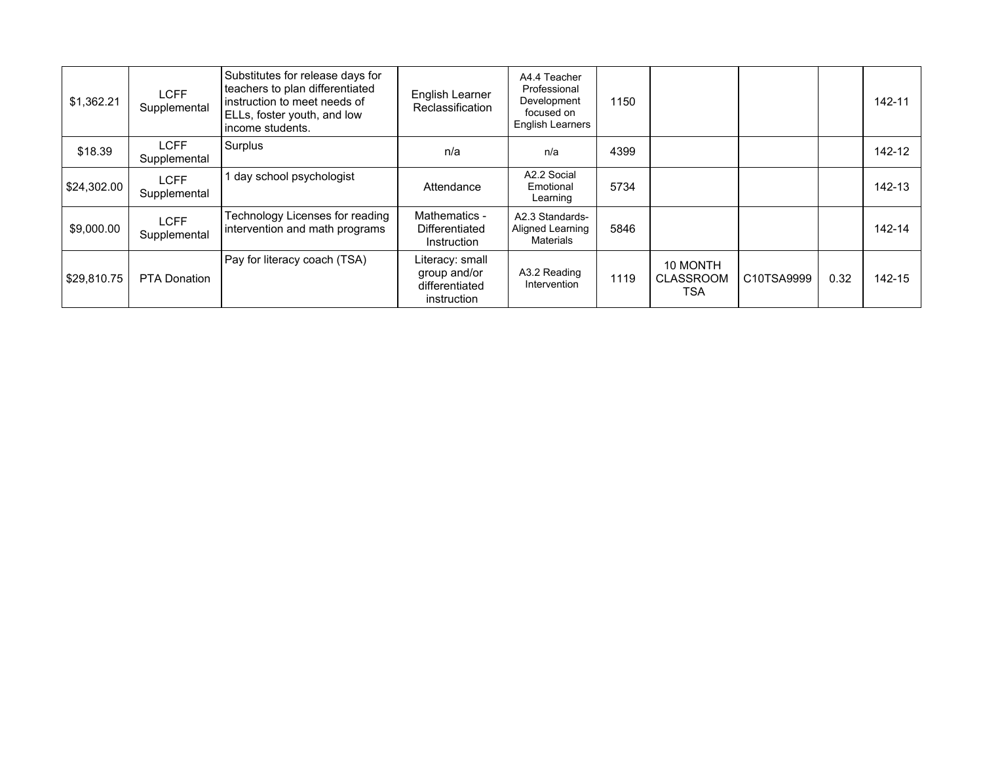| \$1,362.21  | <b>LCFF</b><br>Supplemental | Substitutes for release days for<br>teachers to plan differentiated<br>instruction to meet needs of<br>ELLs, foster youth, and low<br>income students. | English Learner<br>Reclassification                              | A4.4 Teacher<br>Professional<br>Development<br>focused on<br><b>English Learners</b> | 1150 |                                     |            |      | 142-11 |
|-------------|-----------------------------|--------------------------------------------------------------------------------------------------------------------------------------------------------|------------------------------------------------------------------|--------------------------------------------------------------------------------------|------|-------------------------------------|------------|------|--------|
| \$18.39     | LCFF<br>Supplemental        | Surplus                                                                                                                                                | n/a                                                              | n/a                                                                                  | 4399 |                                     |            |      | 142-12 |
| \$24,302.00 | <b>LCFF</b><br>Supplemental | day school psychologist                                                                                                                                | Attendance                                                       | A2.2 Social<br>Emotional<br>Learning                                                 | 5734 |                                     |            |      | 142-13 |
| \$9,000.00  | <b>LCFF</b><br>Supplemental | Technology Licenses for reading<br>intervention and math programs                                                                                      | Mathematics -<br>Differentiated<br>Instruction                   | A2.3 Standards-<br>Aligned Learning<br>Materials                                     | 5846 |                                     |            |      | 142-14 |
| \$29,810.75 | <b>PTA Donation</b>         | Pay for literacy coach (TSA)                                                                                                                           | Literacy: small<br>group and/or<br>differentiated<br>instruction | A3.2 Reading<br>Intervention                                                         | 1119 | 10 MONTH<br><b>CLASSROOM</b><br>TSA | C10TSA9999 | 0.32 | 142-15 |